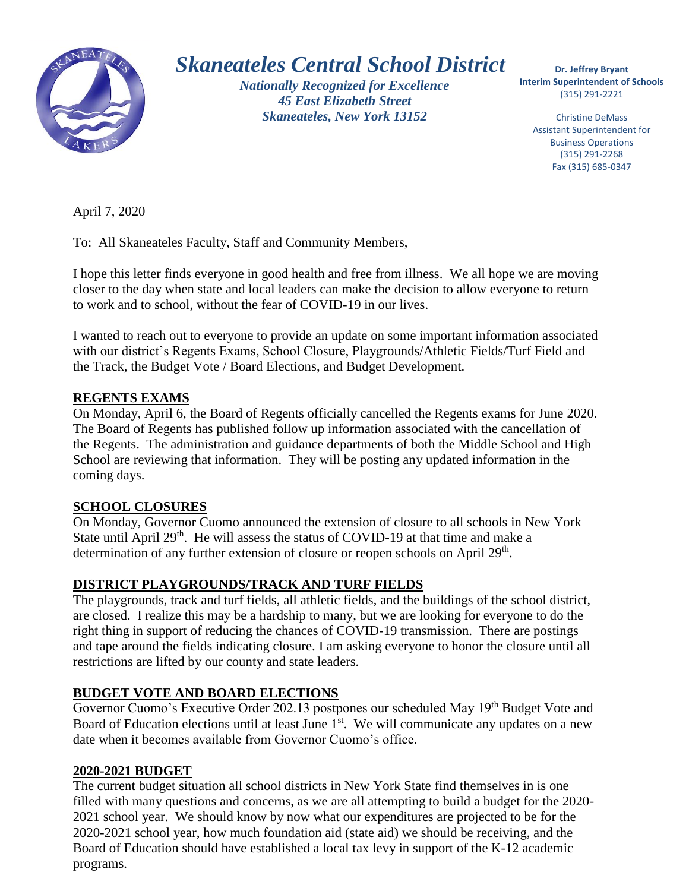

# *Skaneateles Central School District*

*Nationally Recognized for Excellence 45 East Elizabeth Street Skaneateles, New York 13152*

 **Interim Superintendent of Schools Dr. Jeffrey Bryant** (315) 291-2221

Christine DeMass Assistant Superintendent for Business Operations (315) 291-2268 Fax (315) 685-0347

April 7, 2020

To: All Skaneateles Faculty, Staff and Community Members,

 I hope this letter finds everyone in good health and free from illness. We all hope we are moving closer to the day when state and local leaders can make the decision to allow everyone to return to work and to school, without the fear of COVID-19 in our lives.

I wanted to reach out to everyone to provide an update on some important information associated with our district's Regents Exams, School Closure, Playgrounds/Athletic Fields/Turf Field and the Track, the Budget Vote / Board Elections, and Budget Development.

#### **REGENTS EXAMS**

On Monday, April 6, the Board of Regents officially cancelled the Regents exams for June 2020. The Board of Regents has published follow up information associated with the cancellation of the Regents. The administration and guidance departments of both the Middle School and High School are reviewing that information. They will be posting any updated information in the coming days.

## **SCHOOL CLOSURES**

On Monday, Governor Cuomo announced the extension of closure to all schools in New York State until April 29<sup>th</sup>. He will assess the status of COVID-19 at that time and make a determination of any further extension of closure or reopen schools on April 29<sup>th</sup>.

## **DISTRICT PLAYGROUNDS/TRACK AND TURF FIELDS**

The playgrounds, track and turf fields, all athletic fields, and the buildings of the school district, are closed. I realize this may be a hardship to many, but we are looking for everyone to do the right thing in support of reducing the chances of COVID-19 transmission. There are postings and tape around the fields indicating closure. I am asking everyone to honor the closure until all restrictions are lifted by our county and state leaders.

## **BUDGET VOTE AND BOARD ELECTIONS**

Governor Cuomo's Executive Order 202.13 postpones our scheduled May 19<sup>th</sup> Budget Vote and Board of Education elections until at least June  $1<sup>st</sup>$ . We will communicate any updates on a new date when it becomes available from Governor Cuomo's office.

## **2020-2021 BUDGET**

The current budget situation all school districts in New York State find themselves in is one filled with many questions and concerns, as we are all attempting to build a budget for the 2020- 2021 school year. We should know by now what our expenditures are projected to be for the 2020-2021 school year, how much foundation aid (state aid) we should be receiving, and the Board of Education should have established a local tax levy in support of the K-12 academic programs.